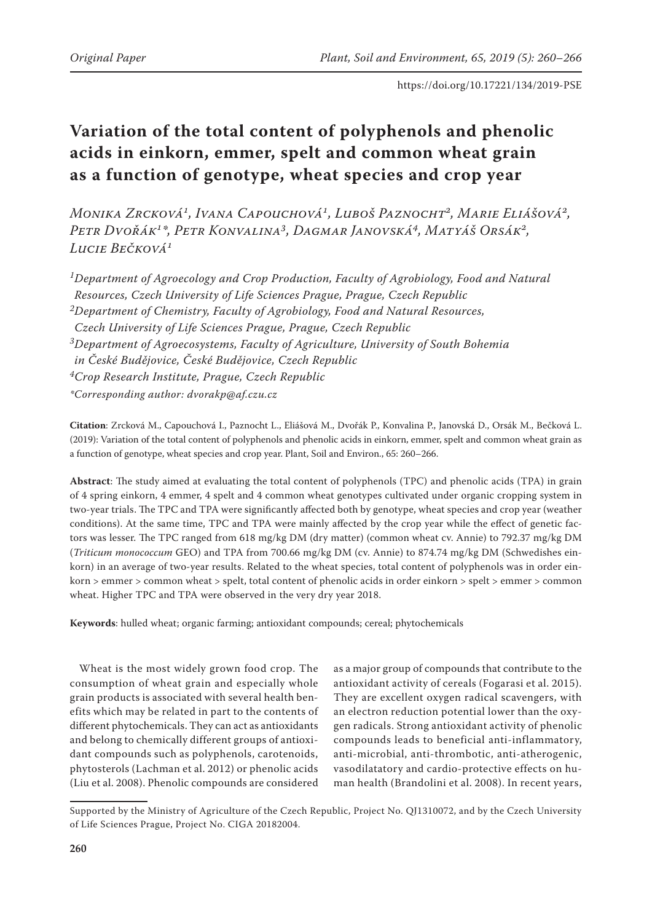# **Variation of the total content of polyphenols and phenolic acids in einkorn, emmer, spelt and common wheat grain as a function of genotype, wheat species and crop year**

*Monika Zrcková1, Ivana Capouchová1, Luboš Paznocht2, Marie Eliášová2, Petr Dvořák1\*, Petr Konvalina3, Dagmar Janovská4, Matyáš Orsák2, Lucie Bečková<sup>1</sup>*

*1Department of Agroecology and Crop Production, Faculty of Agrobiology, Food and Natural Resources, Czech University of Life Sciences Prague, Prague, Czech Republic 2Department of Chemistry, Faculty of Agrobiology, Food and Natural Resources, Czech University of Life Sciences Prague, Prague, Czech Republic 3Department of Agroecosystems, Faculty of Agriculture, University of South Bohemia in České Budějovice, České Budějovice, Czech Republic 4Crop Research Institute, Prague, Czech Republic \*Corresponding author: dvorakp@af.czu.cz*

**Citation**: Zrcková M., Capouchová I., Paznocht L., Eliášová M., Dvořák P., Konvalina P., Janovská D., Orsák M., Bečková L. (2019): Variation of the total content of polyphenols and phenolic acids in einkorn, emmer, spelt and common wheat grain as a function of genotype, wheat species and crop year. Plant, Soil and Environ., 65: 260–266.

**Abstract**: The study aimed at evaluating the total content of polyphenols (TPC) and phenolic acids (TPA) in grain of 4 spring einkorn, 4 emmer, 4 spelt and 4 common wheat genotypes cultivated under organic cropping system in two-year trials. The TPC and TPA were significantly affected both by genotype, wheat species and crop year (weather conditions). At the same time, TPC and TPA were mainly affected by the crop year while the effect of genetic factors was lesser. The TPC ranged from 618 mg/kg DM (dry matter) (common wheat cv. Annie) to 792.37 mg/kg DM (*Triticum monococcum* GEO) and TPA from 700.66 mg/kg DM (cv. Annie) to 874.74 mg/kg DM (Schwedishes einkorn) in an average of two-year results. Related to the wheat species, total content of polyphenols was in order einkorn > emmer > common wheat > spelt, total content of phenolic acids in order einkorn > spelt > emmer > common wheat. Higher TPC and TPA were observed in the very dry year 2018.

**Keywords**: hulled wheat; organic farming; antioxidant compounds; cereal; phytochemicals

Wheat is the most widely grown food crop. The consumption of wheat grain and especially whole grain products is associated with several health benefits which may be related in part to the contents of different phytochemicals. They can act as antioxidants and belong to chemically different groups of antioxidant compounds such as polyphenols, carotenoids, phytosterols (Lachman et al. 2012) or phenolic acids (Liu et al. 2008). Phenolic compounds are considered

as a major group of compounds that contribute to the antioxidant activity of cereals (Fogarasi et al. 2015). They are excellent oxygen radical scavengers, with an electron reduction potential lower than the oxygen radicals. Strong antioxidant activity of phenolic compounds leads to beneficial anti-inflammatory, anti-microbial, anti-thrombotic, anti-atherogenic, vasodilatatory and cardio-protective effects on human health (Brandolini et al. 2008). In recent years,

Supported by the Ministry of Agriculture of the Czech Republic, Project No. QJ1310072, and by the Czech University of Life Sciences Prague, Project No. CIGA 20182004.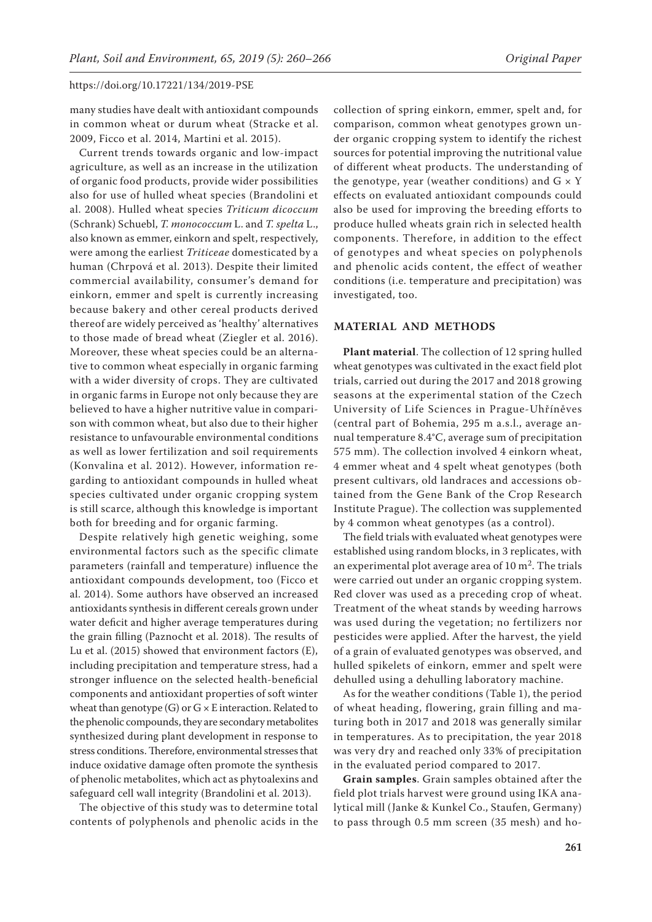many studies have dealt with antioxidant compounds in common wheat or durum wheat (Stracke et al. 2009, Ficco et al. 2014, Martini et al. 2015).

Current trends towards organic and low-impact agriculture, as well as an increase in the utilization of organic food products, provide wider possibilities also for use of hulled wheat species (Brandolini et al. 2008). Hulled wheat species *Triticum dicoccum* (Schrank) Schuebl, *T. monococcum* L. and *T. spelta* L., also known as emmer, einkorn and spelt, respectively, were among the earliest *Triticeae* domesticated by a human (Chrpová et al. 2013). Despite their limited commercial availability, consumer's demand for einkorn, emmer and spelt is currently increasing because bakery and other cereal products derived thereof are widely perceived as 'healthy' alternatives to those made of bread wheat (Ziegler et al. 2016). Moreover, these wheat species could be an alternative to common wheat especially in organic farming with a wider diversity of crops. They are cultivated in organic farms in Europe not only because they are believed to have a higher nutritive value in comparison with common wheat, but also due to their higher resistance to unfavourable environmental conditions as well as lower fertilization and soil requirements (Konvalina et al. 2012). However, information regarding to antioxidant compounds in hulled wheat species cultivated under organic cropping system is still scarce, although this knowledge is important both for breeding and for organic farming.

Despite relatively high genetic weighing, some environmental factors such as the specific climate parameters (rainfall and temperature) influence the antioxidant compounds development, too (Ficco et al. 2014). Some authors have observed an increased antioxidants synthesis in different cereals grown under water deficit and higher average temperatures during the grain filling (Paznocht et al. 2018). The results of Lu et al. (2015) showed that environment factors (E), including precipitation and temperature stress, had a stronger influence on the selected health-beneficial components and antioxidant properties of soft winter wheat than genotype  $(G)$  or  $G \times E$  interaction. Related to the phenolic compounds, they are secondary metabolites synthesized during plant development in response to stress conditions. Therefore, environmental stresses that induce oxidative damage often promote the synthesis of phenolic metabolites, which act as phytoalexins and safeguard cell wall integrity (Brandolini et al. 2013).

The objective of this study was to determine total contents of polyphenols and phenolic acids in the

collection of spring einkorn, emmer, spelt and, for comparison, common wheat genotypes grown under organic cropping system to identify the richest sources for potential improving the nutritional value of different wheat products. The understanding of the genotype, year (weather conditions) and  $G \times Y$ effects on evaluated antioxidant compounds could also be used for improving the breeding efforts to produce hulled wheats grain rich in selected health components. Therefore, in addition to the effect of genotypes and wheat species on polyphenols and phenolic acids content, the effect of weather conditions (i.e. temperature and precipitation) was investigated, too.

# **MATERIAL AND METHODS**

**Plant material**. The collection of 12 spring hulled wheat genotypes was cultivated in the exact field plot trials, carried out during the 2017 and 2018 growing seasons at the experimental station of the Czech University of Life Sciences in Prague-Uhříněves (central part of Bohemia, 295 m a.s.l., average annual temperature 8.4°C, average sum of precipitation 575 mm). The collection involved 4 einkorn wheat, 4 emmer wheat and 4 spelt wheat genotypes (both present cultivars, old landraces and accessions obtained from the Gene Bank of the Crop Research Institute Prague). The collection was supplemented by 4 common wheat genotypes (as a control).

The field trials with evaluated wheat genotypes were established using random blocks, in 3 replicates, with an experimental plot average area of 10  $\mathrm{m}^2.$  The trials were carried out under an organic cropping system. Red clover was used as a preceding crop of wheat. Treatment of the wheat stands by weeding harrows was used during the vegetation; no fertilizers nor pesticides were applied. After the harvest, the yield of a grain of evaluated genotypes was observed, and hulled spikelets of einkorn, emmer and spelt were dehulled using a dehulling laboratory machine.

As for the weather conditions (Table 1), the period of wheat heading, flowering, grain filling and maturing both in 2017 and 2018 was generally similar in temperatures. As to precipitation, the year 2018 was very dry and reached only 33% of precipitation in the evaluated period compared to 2017.

**Grain samples**. Grain samples obtained after the field plot trials harvest were ground using IKA analytical mill (Janke & Kunkel Co., Staufen, Germany) to pass through 0.5 mm screen (35 mesh) and ho-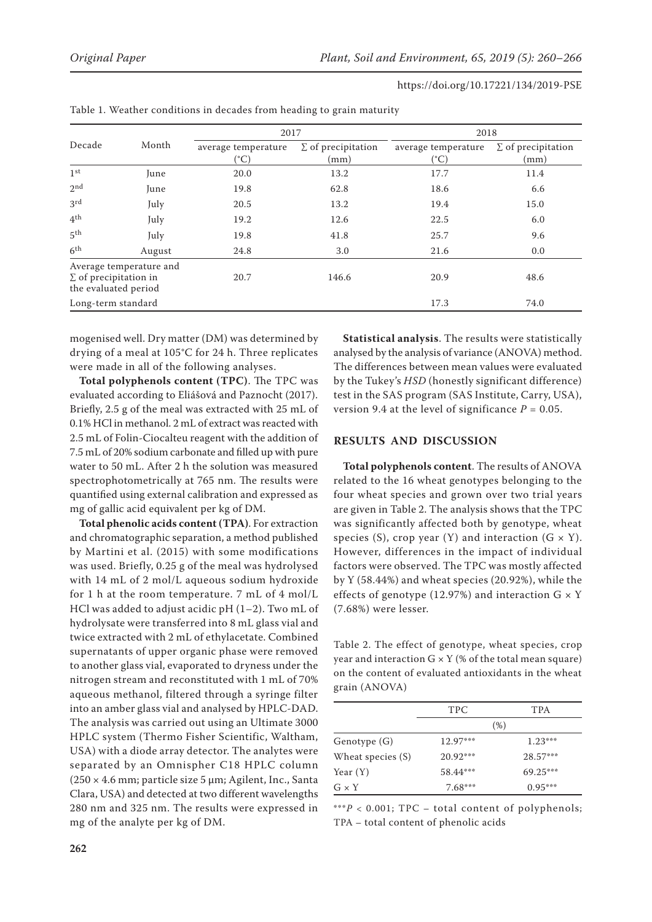| Table 1. Weather conditions in accuues from heading to grain maturity           |        |                                      |                                   |                                      |                                   |  |
|---------------------------------------------------------------------------------|--------|--------------------------------------|-----------------------------------|--------------------------------------|-----------------------------------|--|
| Decade                                                                          | Month  | 2017                                 |                                   | 2018                                 |                                   |  |
|                                                                                 |        | average temperature<br>$(^{\circ}C)$ | $\Sigma$ of precipitation<br>(mm) | average temperature<br>$(^{\circ}C)$ | $\Sigma$ of precipitation<br>(mm) |  |
| 1 <sup>st</sup>                                                                 | June   | 20.0                                 | 13.2                              | 17.7                                 | 11.4                              |  |
| 2 <sup>nd</sup>                                                                 | June   | 19.8                                 | 62.8                              | 18.6                                 | 6.6                               |  |
| 3 <sup>rd</sup>                                                                 | July   | 20.5                                 | 13.2                              | 19.4                                 | 15.0                              |  |
| 4 <sup>th</sup>                                                                 | July   | 19.2                                 | 12.6                              | 22.5                                 | 6.0                               |  |
| 5 <sup>th</sup>                                                                 | July   | 19.8                                 | 41.8                              | 25.7                                 | 9.6                               |  |
| 6 <sup>th</sup>                                                                 | August | 24.8                                 | 3.0                               | 21.6                                 | 0.0                               |  |
| Average temperature and<br>$\Sigma$ of precipitation in<br>the evaluated period |        | 20.7                                 | 146.6                             | 20.9                                 | 48.6                              |  |
| Long-term standard                                                              |        |                                      |                                   | 17.3                                 | 74.0                              |  |

Table 1. Weather conditions in decades from heading to grain maturity

mogenised well. Dry matter (DM) was determined by drying of a meal at 105°C for 24 h. Three replicates were made in all of the following analyses.

**Total polyphenols content (TPC)**. The TPC was evaluated according to Eliášová and Paznocht (2017). Briefly, 2.5 g of the meal was extracted with 25 mL of 0.1% HCl in methanol. 2 mL of extract was reacted with 2.5 mL of Folin-Ciocalteu reagent with the addition of 7.5 mL of 20% sodium carbonate and filled up with pure water to 50 mL. After 2 h the solution was measured spectrophotometrically at 765 nm. The results were quantified using external calibration and expressed as mg of gallic acid equivalent per kg of DM.

**Total phenolic acids content (TPA)**. For extraction and chromatographic separation, a method published by Martini et al. (2015) with some modifications was used. Briefly, 0.25 g of the meal was hydrolysed with 14 mL of 2 mol/L aqueous sodium hydroxide for 1 h at the room temperature. 7 mL of 4 mol/L HCl was added to adjust acidic pH (1–2). Two mL of hydrolysate were transferred into 8 mL glass vial and twice extracted with 2 mL of ethylacetate. Combined supernatants of upper organic phase were removed to another glass vial, evaporated to dryness under the nitrogen stream and reconstituted with 1 mL of 70% aqueous methanol, filtered through a syringe filter into an amber glass vial and analysed by HPLC-DAD. The analysis was carried out using an Ultimate 3000 HPLC system (Thermo Fisher Scientific, Waltham, USA) with a diode array detector. The analytes were separated by an Omnispher C18 HPLC column  $(250 \times 4.6 \text{ mm})$ ; particle size 5 µm; Agilent, Inc., Santa Clara, USA) and detected at two different wavelengths 280 nm and 325 nm. The results were expressed in mg of the analyte per kg of DM.

**Statistical analysis**. The results were statistically analysed by the analysis of variance (ANOVA) method. The differences between mean values were evaluated by the Tukey's *HSD* (honestly significant difference) test in the SAS program (SAS Institute, Carry, USA), version 9.4 at the level of significance  $P = 0.05$ .

# **RESULTS AND DISCUSSION**

**Total polyphenols content**. The results of ANOVA related to the 16 wheat genotypes belonging to the four wheat species and grown over two trial years are given in Table 2. The analysis shows that the TPC was significantly affected both by genotype, wheat species (S), crop year (Y) and interaction  $(G \times Y)$ . However, differences in the impact of individual factors were observed. The TPC was mostly affected by Y (58.44%) and wheat species (20.92%), while the effects of genotype (12.97%) and interaction  $G \times Y$ (7.68%) were lesser.

Table 2. The effect of genotype, wheat species, crop year and interaction  $G \times Y$  (% of the total mean square) on the content of evaluated antioxidants in the wheat grain (ANOVA)

|                   | <b>TPC</b> | <b>TPA</b> |
|-------------------|------------|------------|
|                   |            | (% )       |
| Genotype (G)      | $12.97***$ | $1.23***$  |
| Wheat species (S) | $20.92***$ | $28.57***$ |
| Year $(Y)$        | 58.44***   | $69.25***$ |
| $G \times Y$      | $7.68***$  | $0.95***$  |

\*\*\* $P$  < 0.001; TPC – total content of polyphenols; TPA – total content of phenolic acids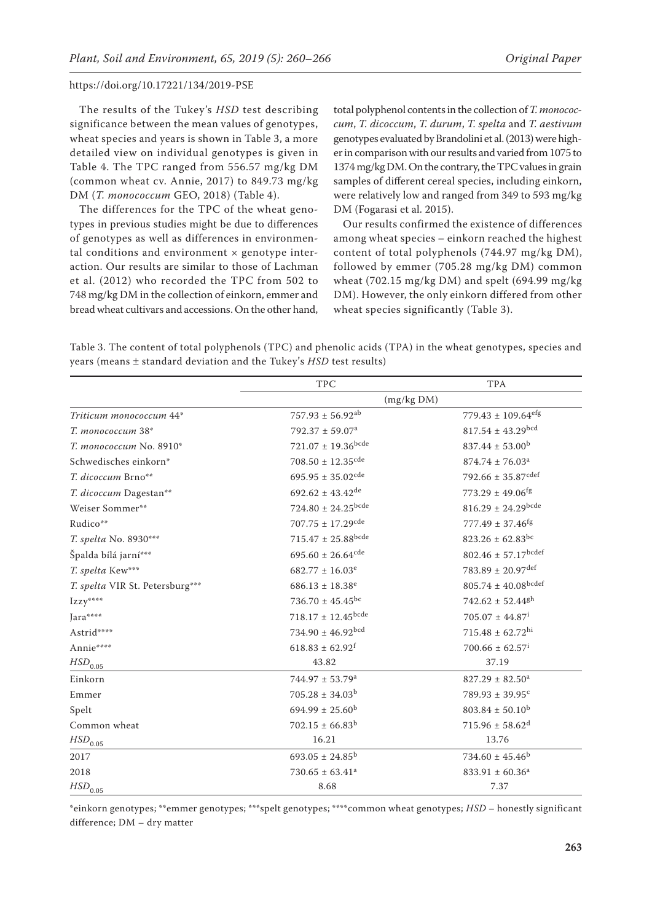The results of the Tukey's *HSD* test describing significance between the mean values of genotypes, wheat species and years is shown in Table 3, a more detailed view on individual genotypes is given in Table 4. The TPC ranged from 556.57 mg/kg DM (common wheat cv. Annie, 2017) to 849.73 mg/kg DM (*T. monococcum* GEO, 2018) (Table 4).

The differences for the TPC of the wheat genotypes in previous studies might be due to differences of genotypes as well as differences in environmental conditions and environment  $\times$  genotype interaction. Our results are similar to those of Lachman et al. (2012) who recorded the TPC from 502 to 748 mg/kg DM in the collection of einkorn, emmer and bread wheat cultivars and accessions. On the other hand,

total polyphenol contents in the collection of *T. monococcum*, *T. dicoccum*, *T. durum*, *T. spelta* and *T. aestivum* genotypes evaluated by Brandolini et al. (2013) were higher in comparison with our results and varied from 1075 to 1374 mg/kg DM. On the contrary, the TPC values in grain samples of different cereal species, including einkorn, were relatively low and ranged from 349 to 593 mg/kg DM (Fogarasi et al. 2015).

Our results confirmed the existence of differences among wheat species – einkorn reached the highest content of total polyphenols (744.97 mg/kg DM), followed by emmer (705.28 mg/kg DM) common wheat (702.15 mg/kg DM) and spelt (694.99 mg/kg DM). However, the only einkorn differed from other wheat species significantly (Table 3).

Table 3. The content of total polyphenols (TPC) and phenolic acids (TPA) in the wheat genotypes, species and years (means ± standard deviation and the Tukey's *HSD* test results)

|                                 | <b>TPC</b>                        | <b>TPA</b>                         |
|---------------------------------|-----------------------------------|------------------------------------|
|                                 | (mg/kg DM)                        |                                    |
| Triticum monococcum 44*         | $757.93 \pm 56.92$ <sup>ab</sup>  | $779.43 \pm 109.64$ <sup>efg</sup> |
| Т. топососсит 38*               | $792.37 \pm 59.07^a$              | $817.54 \pm 43.29$ bcd             |
| Т. топососсит No. 8910*         | $721.07 \pm 19.36$ bcde           | $837.44 \pm 53.00^b$               |
| Schwedisches einkorn*           | $708.50 \pm 12.35$ <sup>cde</sup> | $874.74 \pm 76.03$ <sup>a</sup>    |
| T. dicoccum Brno**              | $695.95 \pm 35.02$ cde            | $792.66 \pm 35.87$ <sup>cdef</sup> |
| T. dicoccum Dagestan**          | $692.62 \pm 43.42$ <sup>de</sup>  | $773.29 \pm 49.06$ <sup>fg</sup>   |
| Weiser Sommer**                 | $724.80 \pm 24.25^{\text{bcde}}$  | $816.29 \pm 24.29$ bcde            |
| Rudico**                        | $707.75 \pm 17.29$ <sup>cde</sup> | $777.49 \pm 37.46$ <sup>fg</sup>   |
| T. spelta No. 8930***           | $715.47 \pm 25.88$ bcde           | $823.26 \pm 62.83$ bc              |
| Špalda bílá jarní***            | $695.60 \pm 26.64$ <sup>cde</sup> | $802.46 \pm 57.17$ bcdef           |
| T. spelta Kew***                | $682.77 \pm 16.03^e$              | $783.89 \pm 20.97$ <sup>def</sup>  |
| T. spelta VIR St. Petersburg*** | $686.13 \pm 18.38$ <sup>e</sup>   | $805.74 \pm 40.08^{bcdef}$         |
| $Izzy^{***}$                    | $736.70 \pm 45.45^{\rm bc}$       | $742.62 \pm 52.44$ gh              |
| Jara****                        | $718.17 \pm 12.45$ bcde           | $705.07 \pm 44.87^i$               |
| Astrid****                      | $734.90 \pm 46.92$ bcd            | $715.48 \pm 62.72$ <sup>hi</sup>   |
| Annie****                       | $618.83 \pm 62.92$ <sup>f</sup>   | $700.66 \pm 62.57$ <sup>i</sup>    |
| $\mathit{HSD}_{0.05}$           | 43.82                             | 37.19                              |
| Einkorn                         | $744.97 \pm 53.79$ <sup>a</sup>   | $827.29 \pm 82.50^a$               |
| Emmer                           | $705.28 \pm 34.03^b$              | $789.93 \pm 39.95$ <sup>c</sup>    |
| Spelt                           | $694.99 \pm 25.60^{\mathrm{b}}$   | $803.84 \pm 50.10^b$               |
| Common wheat                    | $702.15 \pm 66.83^b$              | $715.96 \pm 58.62$ <sup>d</sup>    |
| $\mathit{HSD}_{0.05}$           | 16.21                             | 13.76                              |
| 2017                            | $693.05 \pm 24.85^{\rm b}$        | $734.60 \pm 45.46^b$               |
| 2018                            | $730.65 \pm 63.41^a$              | $833.91 \pm 60.36^a$               |
| $HSD_{0.05}$                    | 8.68                              | 7.37                               |

\*einkorn genotypes; \*\*emmer genotypes; \*\*\*spelt genotypes; \*\*\*\*common wheat genotypes; *HSD* – honestly significant difference; DM – dry matter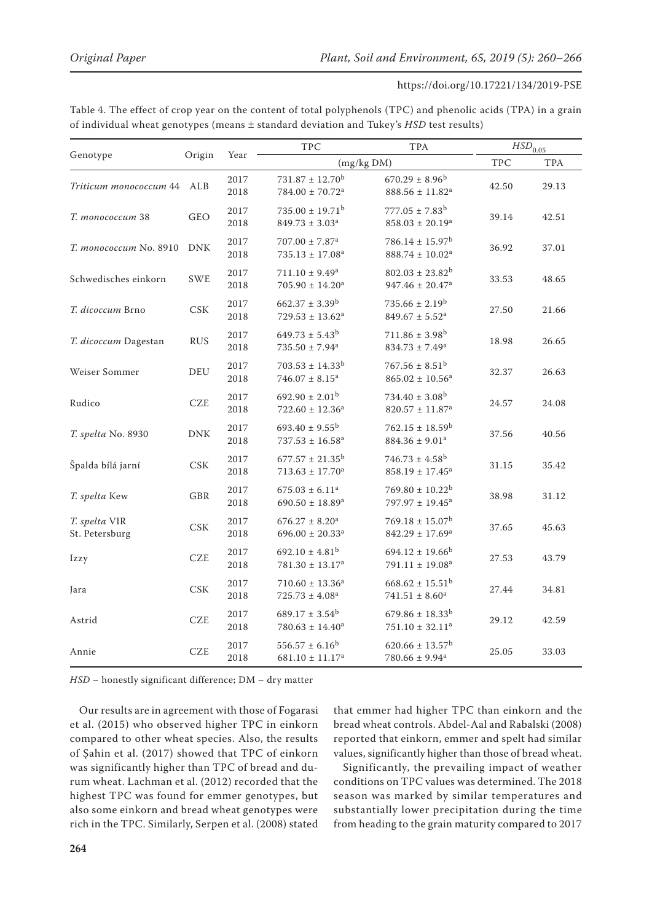| Table 4. The effect of crop year on the content of total polyphenols (TPC) and phenolic acids (TPA) in a grain |  |
|----------------------------------------------------------------------------------------------------------------|--|
| of individual wheat genotypes (means $\pm$ standard deviation and Tukey's <i>HSD</i> test results)             |  |

|                                 | Origin               | Year         | <b>TPC</b>                                                        | TPA                                                     |       | $\overline{HSD}_{0.05}$ |
|---------------------------------|----------------------|--------------|-------------------------------------------------------------------|---------------------------------------------------------|-------|-------------------------|
| Genotype                        |                      |              |                                                                   | (mg/kg DM)                                              |       | <b>TPA</b>              |
| Triticum monococcum 44          | ALB                  | 2017<br>2018 | $731.87 \pm 12.70^b$<br>$784.00 \pm 70.72$ <sup>a</sup>           | $670.29 \pm 8.96^b$<br>$888.56 \pm 11.82^a$             | 42.50 | 29.13                   |
| Т. топососсит 38                | <b>GEO</b>           | 2017<br>2018 | $735.00 \pm 19.71$ <sup>b</sup><br>$849.73 \pm 3.03^a$            | $777.05 \pm 7.83^b$<br>$858.03 \pm 20.19^a$             | 39.14 | 42.51                   |
| Т. топососсит No. 8910          | <b>DNK</b>           | 2017<br>2018 | $707.00 \pm 7.87$ <sup>a</sup><br>$735.13 \pm 17.08^a$            | $786.14 \pm 15.97^b$<br>$888.74 \pm 10.02^a$            | 36.92 | 37.01                   |
| Schwedisches einkorn            | SWE                  | 2017<br>2018 | $711.10 \pm 9.49$ <sup>a</sup><br>$705.90 \pm 14.20^a$            | $802.03 \pm 23.82^b$<br>$947.46 \pm 20.47$ <sup>a</sup> | 33.53 | 48.65                   |
| T. dicoccum Brno                | $\mathbf{CSK}$       | 2017<br>2018 | $662.37 \pm 3.39^b$<br>$729.53 \pm 13.62^a$                       | $735.66 \pm 2.19^b$<br>$849.67 \pm 5.52$ <sup>a</sup>   | 27.50 | 21.66                   |
| T. dicoccum Dagestan            | <b>RUS</b>           | 2017<br>2018 | $649.73 \pm 5.43^b$<br>$735.50 \pm 7.94^a$                        | $711.86 \pm 3.98$ <sup>b</sup><br>$834.73 \pm 7.49^a$   | 18.98 | 26.65                   |
| Weiser Sommer                   | DEU                  | 2017<br>2018 | $703.53 \pm 14.33^b$<br>$746.07 \pm 8.15^a$                       | $767.56 \pm 8.51^b$<br>$865.02 \pm 10.56^a$             | 32.37 | 26.63                   |
| Rudico                          | <b>CZE</b>           | 2017<br>2018 | $692.90 \pm 2.01^b$<br>$722.60 \pm 12.36^a$                       | $734.40 \pm 3.08^b$<br>$820.57 \pm 11.87$ <sup>a</sup>  | 24.57 | 24.08                   |
| T. spelta No. 8930              | ${\rm DNK}$          | 2017<br>2018 | $693.40 \pm 9.55^{\rm b}$<br>$737.53 \pm 16.58^a$                 | $762.15 \pm 18.59^b$<br>$884.36 \pm 9.01^a$             | 37.56 | 40.56                   |
| Špalda bílá jarní               | $\mathbf{CSK}$       | 2017<br>2018 | $677.57 \pm 21.35^b$<br>$713.63 \pm 17.70^a$                      | $746.73 \pm 4.58^{\rm b}$<br>$858.19 \pm 17.45^a$       | 31.15 | 35.42                   |
| T. spelta Kew                   | $\operatorname{GBR}$ | 2017<br>2018 | $675.03 \pm 6.11$ <sup>a</sup><br>$690.50 \pm 18.89$ <sup>a</sup> | $769.80 \pm 10.22^b$<br>$797.97 \pm 19.45^a$            | 38.98 | 31.12                   |
| T. spelta VIR<br>St. Petersburg | CSK                  | 2017<br>2018 | $676.27 \pm 8.20^a$<br>$696.00 \pm 20.33$ <sup>a</sup>            | $769.18 \pm 15.07^b$<br>$842.29 \pm 17.69$ <sup>a</sup> | 37.65 | 45.63                   |
| Izzy                            | ${\rm CZE}$          | 2017<br>2018 | $692.10 \pm 4.81^b$<br>$781.30 \pm 13.17^a$                       | $694.12 \pm 19.66^b$<br>$791.11 \pm 19.08^a$            | 27.53 | 43.79                   |
| Jara                            | $\mathbf{CSK}$       | 2017<br>2018 | $710.60 \pm 13.36^a$<br>$725.73 \pm 4.08^a$                       | $668.62 \pm 15.51^b$<br>$741.51 \pm 8.60^a$             | 27.44 | 34.81                   |
| Astrid                          | ${\rm CZE}$          | 2017<br>2018 | $689.17 \pm 3.54^b$<br>$780.63 \pm 14.40^a$                       | $679.86 \pm 18.33^b$<br>$751.10 \pm 32.11^a$            | 29.12 | 42.59                   |
| Annie                           | <b>CZE</b>           | 2017<br>2018 | $556.57 \pm 6.16^b$<br>$681.10 \pm 11.17^a$                       | $620.66 \pm 13.57^b$<br>$780.66 \pm 9.94$ <sup>a</sup>  | 25.05 | 33.03                   |

*HSD* – honestly significant difference; DM – dry matter

Our results are in agreement with those of Fogarasi et al. (2015) who observed higher TPC in einkorn compared to other wheat species. Also, the results of Şahin et al. (2017) showed that TPC of einkorn was significantly higher than TPC of bread and durum wheat. Lachman et al. (2012) recorded that the highest TPC was found for emmer genotypes, but also some einkorn and bread wheat genotypes were rich in the TPC. Similarly, Serpen et al. (2008) stated that emmer had higher TPC than einkorn and the bread wheat controls. Abdel-Aal and Rabalski (2008) reported that einkorn, emmer and spelt had similar values, significantly higher than those of bread wheat.

Significantly, the prevailing impact of weather conditions on TPC values was determined. The 2018 season was marked by similar temperatures and substantially lower precipitation during the time from heading to the grain maturity compared to 2017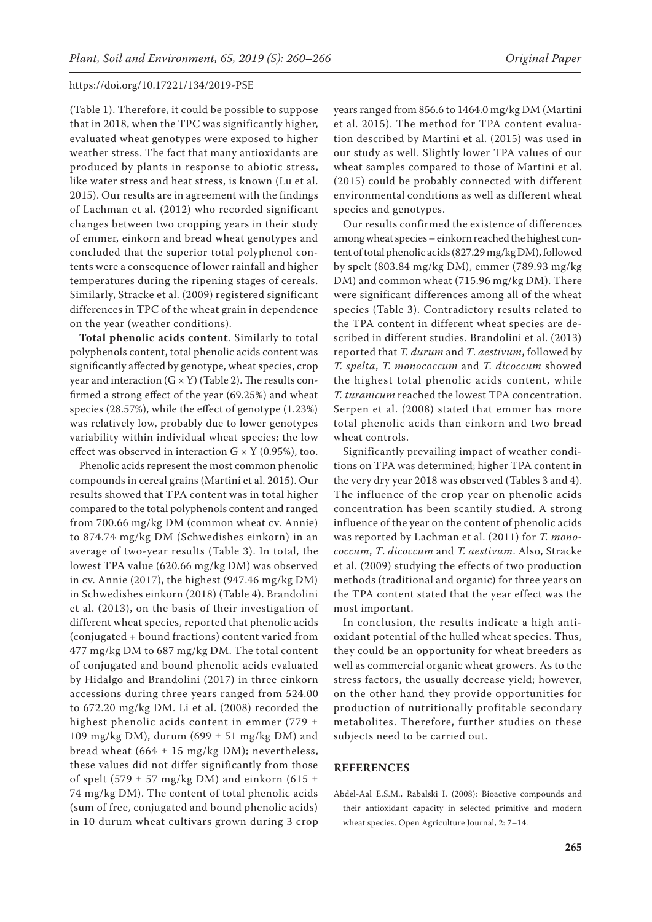(Table 1). Therefore, it could be possible to suppose that in 2018, when the TPC was significantly higher, evaluated wheat genotypes were exposed to higher weather stress. The fact that many antioxidants are produced by plants in response to abiotic stress, like water stress and heat stress, is known (Lu et al. 2015). Our results are in agreement with the findings of Lachman et al. (2012) who recorded significant changes between two cropping years in their study of emmer, einkorn and bread wheat genotypes and concluded that the superior total polyphenol contents were a consequence of lower rainfall and higher temperatures during the ripening stages of cereals. Similarly, Stracke et al. (2009) registered significant differences in TPC of the wheat grain in dependence on the year (weather conditions).

**Total phenolic acids content**. Similarly to total polyphenols content, total phenolic acids content was significantly affected by genotype, wheat species, crop year and interaction  $(G \times Y)$  (Table 2). The results confirmed a strong effect of the year (69.25%) and wheat species (28.57%), while the effect of genotype (1.23%) was relatively low, probably due to lower genotypes variability within individual wheat species; the low effect was observed in interaction G  $\times$  Y (0.95%), too.

Phenolic acids represent the most common phenolic compounds in cereal grains (Martini et al. 2015). Our results showed that TPA content was in total higher compared to the total polyphenols content and ranged from 700.66 mg/kg DM (common wheat cv. Annie) to 874.74 mg/kg DM (Schwedishes einkorn) in an average of two-year results (Table 3). In total, the lowest TPA value (620.66 mg/kg DM) was observed in cv. Annie (2017), the highest (947.46 mg/kg DM) in Schwedishes einkorn (2018) (Table 4). Brandolini et al. (2013), on the basis of their investigation of different wheat species, reported that phenolic acids (conjugated + bound fractions) content varied from 477 mg/kg DM to 687 mg/kg DM. The total content of conjugated and bound phenolic acids evaluated by Hidalgo and Brandolini (2017) in three einkorn accessions during three years ranged from 524.00 to 672.20 mg/kg DM. Li et al. (2008) recorded the highest phenolic acids content in emmer (779  $\pm$ 109 mg/kg DM), durum (699  $\pm$  51 mg/kg DM) and bread wheat (664  $\pm$  15 mg/kg DM); nevertheless, these values did not differ significantly from those of spelt (579  $\pm$  57 mg/kg DM) and einkorn (615  $\pm$ 74 mg/kg DM). The content of total phenolic acids (sum of free, conjugated and bound phenolic acids) in 10 durum wheat cultivars grown during 3 crop

years ranged from 856.6 to 1464.0 mg/kg DM (Martini et al. 2015). The method for TPA content evaluation described by Martini et al. (2015) was used in our study as well. Slightly lower TPA values of our wheat samples compared to those of Martini et al. (2015) could be probably connected with different environmental conditions as well as different wheat species and genotypes.

Our results confirmed the existence of differences among wheat species – einkorn reached the highest content of total phenolic acids (827.29 mg/kg DM), followed by spelt (803.84 mg/kg DM), emmer (789.93 mg/kg DM) and common wheat (715.96 mg/kg DM). There were significant differences among all of the wheat species (Table 3). Contradictory results related to the TPA content in different wheat species are described in different studies. Brandolini et al. (2013) reported that *T. durum* and *T*. *aestivum*, followed by *T. spelta*, *T. monococcum* and *T. dicoccum* showed the highest total phenolic acids content, while *T. turanicum* reached the lowest TPA concentration. Serpen et al. (2008) stated that emmer has more total phenolic acids than einkorn and two bread wheat controls.

Significantly prevailing impact of weather conditions on TPA was determined; higher TPA content in the very dry year 2018 was observed (Tables 3 and 4). The influence of the crop year on phenolic acids concentration has been scantily studied. A strong influence of the year on the content of phenolic acids was reported by Lachman et al. (2011) for *T. monococcum*, *T*. *dicoccum* and *T. aestivum*. Also, Stracke et al. (2009) studying the effects of two production methods (traditional and organic) for three years on the TPA content stated that the year effect was the most important.

In conclusion, the results indicate a high antioxidant potential of the hulled wheat species. Thus, they could be an opportunity for wheat breeders as well as commercial organic wheat growers. As to the stress factors, the usually decrease yield; however, on the other hand they provide opportunities for production of nutritionally profitable secondary metabolites. Therefore, further studies on these subjects need to be carried out.

#### **REFERENCES**

Abdel-Aal E.S.M., Rabalski I. (2008): Bioactive compounds and their antioxidant capacity in selected primitive and modern wheat species. Open Agriculture Journal, 2: 7–14.